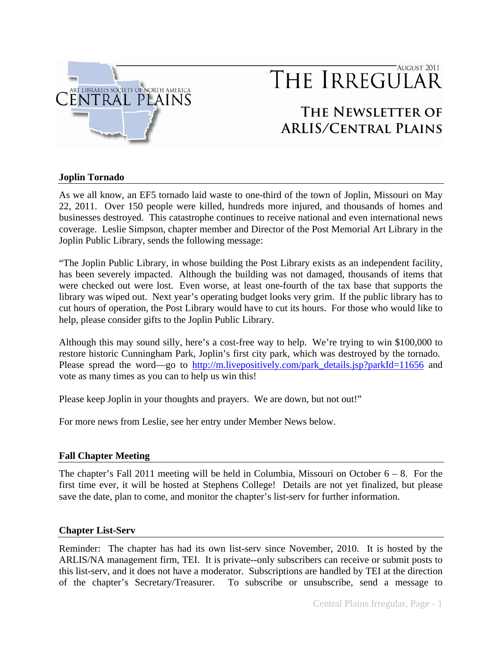

## AUGUST 2011 THE IRREGULAR

# **The Newsletter of ARLIS/Central Plains**

## **Joplin Tornado**

As we all know, an EF5 tornado laid waste to one-third of the town of Joplin, Missouri on May 22, 2011. Over 150 people were killed, hundreds more injured, and thousands of homes and businesses destroyed. This catastrophe continues to receive national and even international news coverage. Leslie Simpson, chapter member and Director of the Post Memorial Art Library in the Joplin Public Library, sends the following message:

"The Joplin Public Library, in whose building the Post Library exists as an independent facility, has been severely impacted. Although the building was not damaged, thousands of items that were checked out were lost. Even worse, at least one-fourth of the tax base that supports the library was wiped out. Next year's operating budget looks very grim. If the public library has to cut hours of operation, the Post Library would have to cut its hours. For those who would like to help, please consider gifts to the Joplin Public Library.

Although this may sound silly, here's a cost-free way to help. We're trying to win \$100,000 to restore historic Cunningham Park, Joplin's first city park, which was destroyed by the tornado. Please spread the word—go to [http://m.livepositively.com/park\\_details.jsp?parkId=11656](http://m.livepositively.com/park_details.jsp?parkId=11656) and vote as many times as you can to help us win this!

Please keep Joplin in your thoughts and prayers. We are down, but not out!"

For more news from Leslie, see her entry under Member News below.

## **Fall Chapter Meeting**

The chapter's Fall 2011 meeting will be held in Columbia, Missouri on October  $6 - 8$ . For the first time ever, it will be hosted at Stephens College! Details are not yet finalized, but please save the date, plan to come, and monitor the chapter's list-serv for further information.

## **Chapter List-Serv**

Reminder: The chapter has had its own list-serv since November, 2010. It is hosted by the ARLIS/NA management firm, TEI. It is private--only subscribers can receive or submit posts to this list-serv, and it does not have a moderator. Subscriptions are handled by TEI at the direction of the chapter's Secretary/Treasurer. To subscribe or unsubscribe, send a message to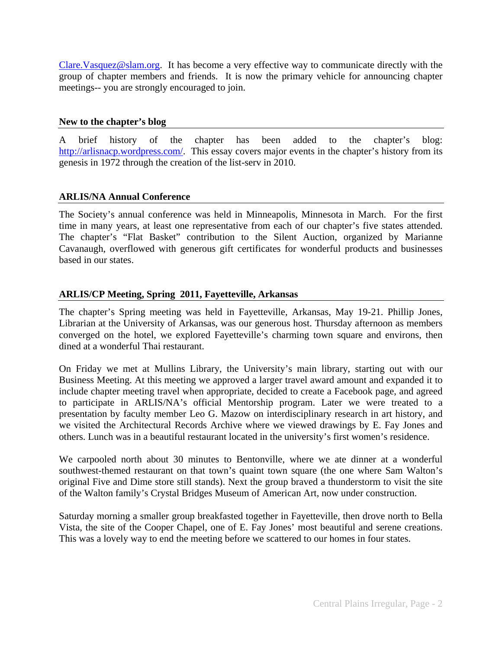[Clare.Vasquez@slam.org](mailto:Clare.Vasquez@slam.org). It has become a very effective way to communicate directly with the group of chapter members and friends. It is now the primary vehicle for announcing chapter meetings-- you are strongly encouraged to join.

#### **New to the chapter's blog**

A brief history of the chapter has been added to the chapter's blog: <http://arlisnacp.wordpress.com/>. This essay covers major events in the chapter's history from its genesis in 1972 through the creation of the list-serv in 2010.

#### **ARLIS/NA Annual Conference**

The Society's annual conference was held in Minneapolis, Minnesota in March. For the first time in many years, at least one representative from each of our chapter's five states attended. The chapter's "Flat Basket" contribution to the Silent Auction, organized by Marianne Cavanaugh, overflowed with generous gift certificates for wonderful products and businesses based in our states.

## **ARLIS/CP Meeting, Spring 2011, Fayetteville, Arkansas**

The chapter's Spring meeting was held in Fayetteville, Arkansas, May 19-21. Phillip Jones, Librarian at the University of Arkansas, was our generous host. Thursday afternoon as members converged on the hotel, we explored Fayetteville's charming town square and environs, then dined at a wonderful Thai restaurant.

On Friday we met at Mullins Library, the University's main library, starting out with our Business Meeting. At this meeting we approved a larger travel award amount and expanded it to include chapter meeting travel when appropriate, decided to create a Facebook page, and agreed to participate in ARLIS/NA's official Mentorship program. Later we were treated to a presentation by faculty member Leo G. Mazow on interdisciplinary research in art history, and we visited the Architectural Records Archive where we viewed drawings by E. Fay Jones and others. Lunch was in a beautiful restaurant located in the university's first women's residence.

We carpooled north about 30 minutes to Bentonville, where we ate dinner at a wonderful southwest-themed restaurant on that town's quaint town square (the one where Sam Walton's original Five and Dime store still stands). Next the group braved a thunderstorm to visit the site of the Walton family's Crystal Bridges Museum of American Art, now under construction.

Saturday morning a smaller group breakfasted together in Fayetteville, then drove north to Bella Vista, the site of the Cooper Chapel, one of E. Fay Jones' most beautiful and serene creations. This was a lovely way to end the meeting before we scattered to our homes in four states.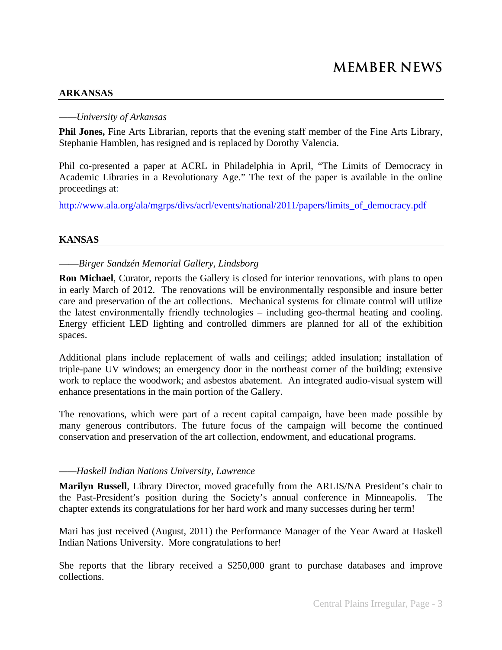#### **ARKANSAS**

#### *——University of Arkansas*

**Phil Jones,** Fine Arts Librarian, reports that the evening staff member of the Fine Arts Library, Stephanie Hamblen, has resigned and is replaced by Dorothy Valencia.

Phil co-presented a paper at ACRL in Philadelphia in April, "The Limits of Democracy in Academic Libraries in a Revolutionary Age." The text of the paper is available in the online proceedings at:

http://www.ala.org/ala/mgrps/divs/acrl/events/national/2011/papers/limits of democracy.pdf

#### **KANSAS**

#### *——Birger Sandzén Memorial Gallery, Lindsborg*

**Ron Michael**, Curator, reports the Gallery is closed for interior renovations, with plans to open in early March of 2012. The renovations will be environmentally responsible and insure better care and preservation of the art collections. Mechanical systems for climate control will utilize the latest environmentally friendly technologies – including geo-thermal heating and cooling. Energy efficient LED lighting and controlled dimmers are planned for all of the exhibition spaces.

Additional plans include replacement of walls and ceilings; added insulation; installation of triple-pane UV windows; an emergency door in the northeast corner of the building; extensive work to replace the woodwork; and asbestos abatement. An integrated audio-visual system will enhance presentations in the main portion of the Gallery.

The renovations, which were part of a recent capital campaign, have been made possible by many generous contributors. The future focus of the campaign will become the continued conservation and preservation of the art collection, endowment, and educational programs.

#### *——Haskell Indian Nations University, Lawrence*

**Marilyn Russell**, Library Director, moved gracefully from the ARLIS/NA President's chair to the Past-President's position during the Society's annual conference in Minneapolis. The chapter extends its congratulations for her hard work and many successes during her term!

Mari has just received (August, 2011) the Performance Manager of the Year Award at Haskell Indian Nations University. More congratulations to her!

She reports that the library received a \$250,000 grant to purchase databases and improve collections.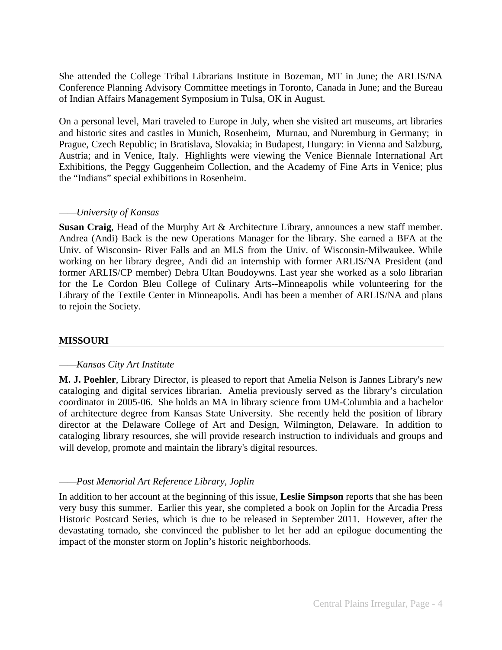She attended the College Tribal Librarians Institute in Bozeman, MT in June; the ARLIS/NA Conference Planning Advisory Committee meetings in Toronto, Canada in June; and the Bureau of Indian Affairs Management Symposium in Tulsa, OK in August.

On a personal level, Mari traveled to Europe in July, when she visited art museums, art libraries and historic sites and castles in Munich, Rosenheim, Murnau, and Nuremburg in Germany; in Prague, Czech Republic; in Bratislava, Slovakia; in Budapest, Hungary: in Vienna and Salzburg, Austria; and in Venice, Italy. Highlights were viewing the Venice Biennale International Art Exhibitions, the Peggy Guggenheim Collection, and the Academy of Fine Arts in Venice; plus the "Indians" special exhibitions in Rosenheim.

#### *——University of Kansas*

**Susan Craig**, Head of the Murphy Art & Architecture Library, announces a new staff member. Andrea (Andi) Back is the new Operations Manager for the library. She earned a BFA at the Univ. of Wisconsin- River Falls and an MLS from the Univ. of Wisconsin-Milwaukee. While working on her library degree, Andi did an internship with former ARLIS/NA President (and former ARLIS/CP member) Debra Ultan Boudoywns. Last year she worked as a solo librarian for the Le Cordon Bleu College of Culinary Arts--Minneapolis while volunteering for the Library of the Textile Center in Minneapolis. Andi has been a member of ARLIS/NA and plans to rejoin the Society.

#### **MISSOURI**

#### *——Kansas City Art Institute*

**M. J. Poehler**, Library Director, is pleased to report that Amelia Nelson is Jannes Library's new cataloging and digital services librarian. Amelia previously served as the library's circulation coordinator in 2005-06. She holds an MA in library science from UM-Columbia and a bachelor of architecture degree from Kansas State University. She recently held the position of library director at the Delaware College of Art and Design, Wilmington, Delaware. In addition to cataloging library resources, she will provide research instruction to individuals and groups and will develop, promote and maintain the library's digital resources.

#### *——Post Memorial Art Reference Library, Joplin*

In addition to her account at the beginning of this issue, **Leslie Simpson** reports that she has been very busy this summer. Earlier this year, she completed a book on Joplin for the Arcadia Press Historic Postcard Series, which is due to be released in September 2011. However, after the devastating tornado, she convinced the publisher to let her add an epilogue documenting the impact of the monster storm on Joplin's historic neighborhoods.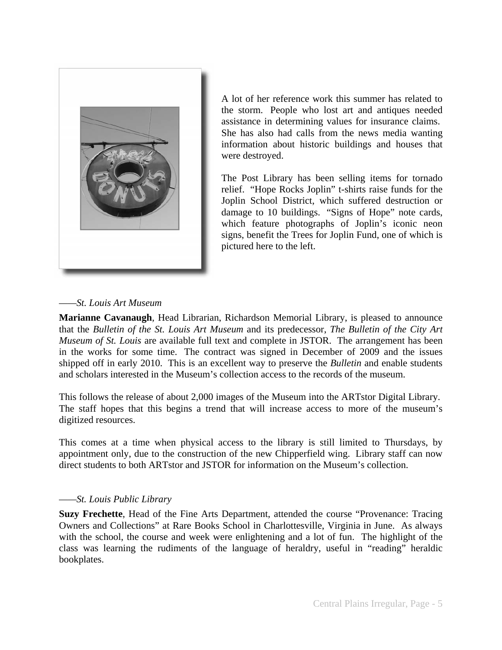

A lot of her reference work this summer has related to the storm. People who lost art and antiques needed assistance in determining values for insurance claims. She has also had calls from the news media wanting information about historic buildings and houses that were destroyed.

The Post Library has been selling items for tornado relief. "Hope Rocks Joplin" t-shirts raise funds for the Joplin School District, which suffered destruction or damage to 10 buildings. "Signs of Hope" note cards, which feature photographs of Joplin's iconic neon signs, benefit the Trees for Joplin Fund, one of which is pictured here to the left.

#### *——St. Louis Art Museum*

**Marianne Cavanaugh**, Head Librarian, Richardson Memorial Library, is pleased to announce that the *Bulletin of the St. Louis Art Museum* and its predecessor, *The Bulletin of the City Art Museum of St. Louis* are available full text and complete in JSTOR. The arrangement has been in the works for some time. The contract was signed in December of 2009 and the issues shipped off in early 2010. This is an excellent way to preserve the *Bulletin* and enable students and scholars interested in the Museum's collection access to the records of the museum.

This follows the release of about 2,000 images of the Museum into the ARTstor Digital Library. The staff hopes that this begins a trend that will increase access to more of the museum's digitized resources.

This comes at a time when physical access to the library is still limited to Thursdays, by appointment only, due to the construction of the new Chipperfield wing. Library staff can now direct students to both ARTstor and JSTOR for information on the Museum's collection.

#### *——St. Louis Public Library*

**Suzy Frechette**, Head of the Fine Arts Department, attended the course "Provenance: Tracing Owners and Collections" at Rare Books School in Charlottesville, Virginia in June. As always with the school, the course and week were enlightening and a lot of fun. The highlight of the class was learning the rudiments of the language of heraldry, useful in "reading" heraldic bookplates.